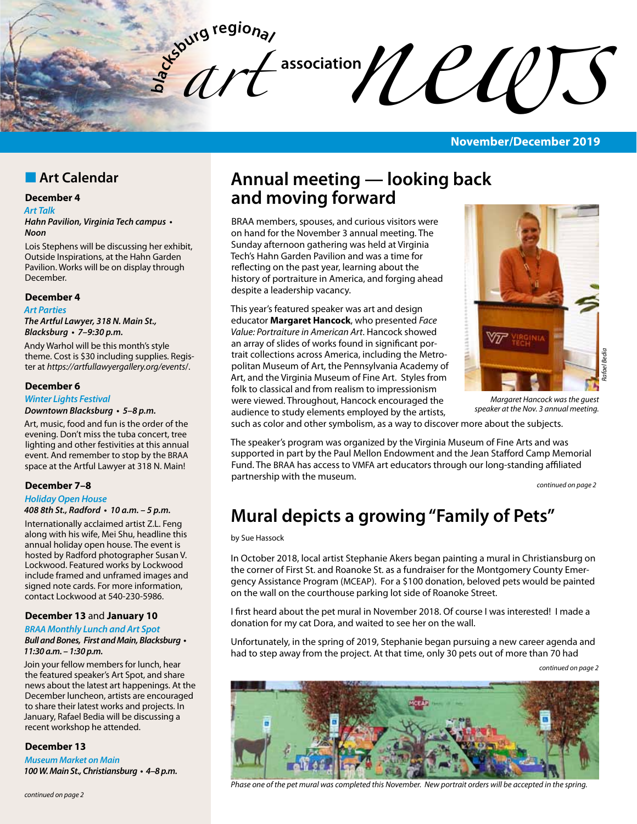**bla** *art*   $\mathcal{U}\left(\mathcal{U}\right)$ 

## **November/December 2019**

## **n** Art Calendar

## **December 4**

#### *Art Talk*

**Hahn Pavilion, Virginia Tech campus •**  *Noon* 

Lois Stephens will be discussing her exhibit, Outside Inspirations, at the Hahn Garden Pavilion. Works will be on display through December.

#### **December 4**

#### *Art Parties*

*The Artful Lawyer, 318 N. Main St.,*  **Blacksburg • 7–9:30 p.m.** 

Andy Warhol will be this month's style theme. Cost is \$30 including supplies. Register at *https://artfullawyergallery.org/events*/.

#### **December 6**

## *Winter Lights Festival*

**Downtown Blacksburg • 5–8 p.m.**

Art, music, food and fun is the order of the evening. Don't miss the tuba concert, tree lighting and other festivities at this annual event. And remember to stop by the BRAA space at the Artful Lawyer at 318 N. Main!

#### **December 7–8**

## *Holiday Open House*

**408 8th St., Radford • 10 a.m. – 5 p.m.**

Internationally acclaimed artist Z.L. Feng along with his wife, Mei Shu, headline this annual holiday open house. The event is hosted by Radford photographer Susan V. Lockwood. Featured works by Lockwood include framed and unframed images and signed note cards. For more information, contact Lockwood at 540-230-5986.

### **December 13** and **January 10**

#### **BRAA** *Monthly Lunch and Art Spot* **Bull and Bones, First and Main, Blacksburg • 11:30 a.m. – 1:30 p.m.**

Join your fellow members for lunch, hear the featured speaker's Art Spot, and share news about the latest art happenings. At the December luncheon, artists are encouraged to share their latest works and projects. In January, Rafael Bedia will be discussing a recent workshop he attended.

#### **December 13**

*Museum Market on Main* **100 W. Main St., Christiansburg • 4–8 p.m.** 

## *continued on page 2*

# **Annual meeting — looking back and moving forward**

BRAA members, spouses, and curious visitors were on hand for the November 3 annual meeting. The Sunday afternoon gathering was held at Virginia Tech's Hahn Garden Pavilion and was a time for reflecting on the past year, learning about the history of portraiture in America, and forging ahead despite a leadership vacancy.

This year's featured speaker was art and design educator **Margaret Hancock**, who presented *Face Value: Portraiture in American Art*. Hancock showed an array of slides of works found in significant portrait collections across America, including the Metropolitan Museum of Art, the Pennsylvania Academy of Art, and the Virginia Museum of Fine Art. Styles from folk to classical and from realism to impressionism were viewed. Throughout, Hancock encouraged the audience to study elements employed by the artists,



*Margaret Hancock was the guest speaker at the Nov. 3 annual meeting.*

such as color and other symbolism, as a way to discover more about the subjects.

The speaker's program was organized by the Virginia Museum of Fine Arts and was supported in part by the Paul Mellon Endowment and the Jean Stafford Camp Memorial Fund. The BRAA has access to VMFA art educators through our long-standing affiliated partnership with the museum.

*continued on page 2*

# **Mural depicts a growing "Family of Pets"**

#### by Sue Hassock

In October 2018, local artist Stephanie Akers began painting a mural in Christiansburg on the corner of First St. and Roanoke St. as a fundraiser for the Montgomery County Emergency Assistance Program (MCEAP). For a \$100 donation, beloved pets would be painted on the wall on the courthouse parking lot side of Roanoke Street.

I first heard about the pet mural in November 2018. Of course I was interested! I made a donation for my cat Dora, and waited to see her on the wall.

Unfortunately, in the spring of 2019, Stephanie began pursuing a new career agenda and had to step away from the project. At that time, only 30 pets out of more than 70 had

*continued on page 2*



*Phase one of the pet mural was completed this November. New portrait orders will be accepted in the spring.*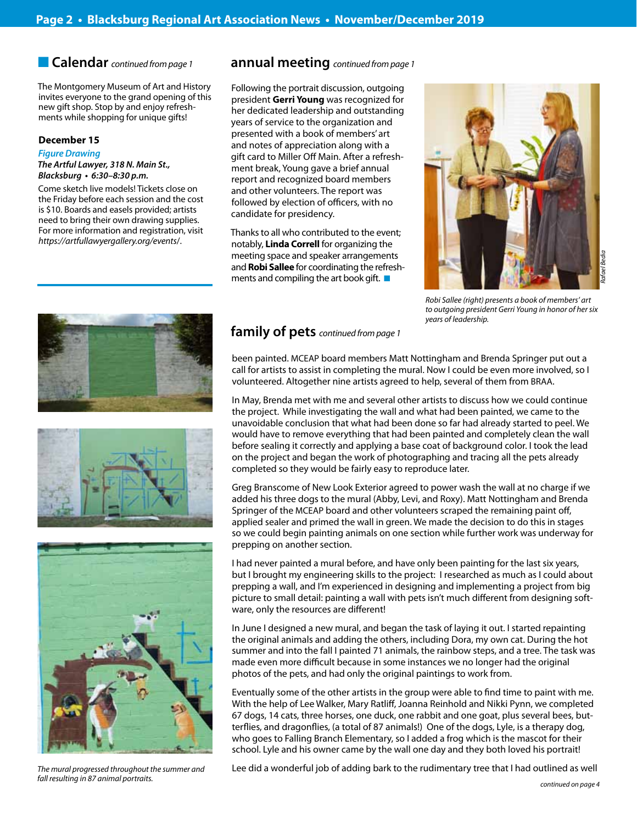The Montgomery Museum of Art and History invites everyone to the grand opening of this new gift shop. Stop by and enjoy refreshments while shopping for unique gifts!

## **December 15**

*Figure Drawing The Artful Lawyer, 318 N. Main St.,*  **Blacksburg • 6:30–8:30 p.m.** 

Come sketch live models! Tickets close on the Friday before each session and the cost is \$10. Boards and easels provided; artists need to bring their own drawing supplies. For more information and registration, visit *https://artfullawyergallery.org/events*/.





*The mural progressed throughout the summer and fall resulting in 87 animal portraits.*

## n **Calendar** *continued from page 1* **annual meeting** *continued from page 1*

Following the portrait discussion, outgoing president **Gerri Young** was recognized for her dedicated leadership and outstanding years of service to the organization and presented with a book of members' art and notes of appreciation along with a gift card to Miller Off Main. After a refreshment break, Young gave a brief annual report and recognized board members and other volunteers. The report was followed by election of officers, with no candidate for presidency.

Thanks to all who contributed to the event; notably, **Linda Correll** for organizing the meeting space and speaker arrangements and **Robi Sallee** for coordinating the refreshments and compiling the art book gift.  $\blacksquare$ 



*Robi Sallee (right) presents a book of members' art to outgoing president Gerri Young in honor of her six years of leadership.*

## **family of pets** *continued from page 1*

been painted. MCEAP board members Matt Nottingham and Brenda Springer put out a call for artists to assist in completing the mural. Now I could be even more involved, so I volunteered. Altogether nine artists agreed to help, several of them from BRAA.

In May, Brenda met with me and several other artists to discuss how we could continue the project. While investigating the wall and what had been painted, we came to the unavoidable conclusion that what had been done so far had already started to peel. We would have to remove everything that had been painted and completely clean the wall before sealing it correctly and applying a base coat of background color. I took the lead on the project and began the work of photographing and tracing all the pets already completed so they would be fairly easy to reproduce later.

Greg Branscome of New Look Exterior agreed to power wash the wall at no charge if we added his three dogs to the mural (Abby, Levi, and Roxy). Matt Nottingham and Brenda Springer of the MCEAP board and other volunteers scraped the remaining paint off, applied sealer and primed the wall in green. We made the decision to do this in stages so we could begin painting animals on one section while further work was underway for prepping on another section.

I had never painted a mural before, and have only been painting for the last six years, but I brought my engineering skills to the project: I researched as much as I could about prepping a wall, and I'm experienced in designing and implementing a project from big picture to small detail: painting a wall with pets isn't much different from designing software, only the resources are different!

In June I designed a new mural, and began the task of laying it out. I started repainting the original animals and adding the others, including Dora, my own cat. During the hot summer and into the fall I painted 71 animals, the rainbow steps, and a tree. The task was made even more difficult because in some instances we no longer had the original photos of the pets, and had only the original paintings to work from.

Eventually some of the other artists in the group were able to find time to paint with me. With the help of Lee Walker, Mary Ratliff, Joanna Reinhold and Nikki Pynn, we completed 67 dogs, 14 cats, three horses, one duck, one rabbit and one goat, plus several bees, butterflies, and dragonflies, (a total of 87 animals!) One of the dogs, Lyle, is a therapy dog, who goes to Falling Branch Elementary, so I added a frog which is the mascot for their school. Lyle and his owner came by the wall one day and they both loved his portrait!

Lee did a wonderful job of adding bark to the rudimentary tree that I had outlined as well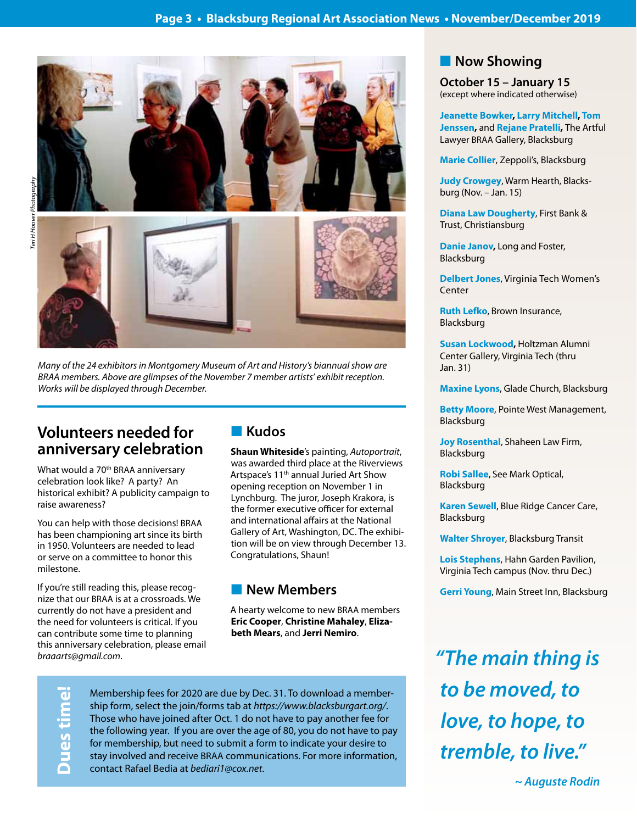Ī



*Many of the 24 exhibitors in Montgomery Museum of Art and History's biannual show are BRAA members. Above are glimpses of the November 7 member artists' exhibit reception. Works will be displayed through December.*

# **Volunteers needed for anniversary celebration**

What would a 70<sup>th</sup> BRAA anniversary celebration look like? A party? An historical exhibit? A publicity campaign to raise awareness?

You can help with those decisions! BRAA has been championing art since its birth in 1950. Volunteers are needed to lead or serve on a committee to honor this milestone.

If you're still reading this, please recognize that our BRAA is at a crossroads. We currently do not have a president and the need for volunteers is critical. If you can contribute some time to planning this anniversary celebration, please email *braaarts@gmail.com*.

# n **Kudos**

**Shaun Whiteside**'s painting, *Autoportrait*, was awarded third place at the Riverviews Artspace's 11<sup>th</sup> annual Juried Art Show opening reception on November 1 in Lynchburg. The juror, Joseph Krakora, is the former executive officer for external and international affairs at the National Gallery of Art, Washington, DC. The exhibition will be on view through December 13. Congratulations, Shaun!

## **New Members**

A hearty welcome to new BRAA members **Eric Cooper**, **Christine Mahaley**, **Elizabeth Mears**, and **Jerri Nemiro**.

**Dues time!**

Membership fees for 2020 are due by Dec. 31. To download a membership form, select the join/forms tab at *https://www.blacksburgart.org/*. Those who have joined after Oct. 1 do not have to pay another fee for the following year. If you are over the age of 80, you do not have to pay for membership, but need to submit a form to indicate your desire to stay involved and receive BRAA communications. For more information, contact Rafael Bedia at *bediari1@cox.net*.

## **Now Showing**

**October 15 – January 15** (except where indicated otherwise)

**Jeanette Bowker, Larry Mitchell, Tom Jenssen,** and **Rejane Pratelli,** The Artful Lawyer BRAA Gallery, Blacksburg

**Marie Collier**, Zeppoli's, Blacksburg

**Judy Crowgey**, Warm Hearth, Blacksburg (Nov. – Jan. 15)

**Diana Law Dougherty**, First Bank & Trust, Christiansburg

**Danie Janov,** Long and Foster, Blacksburg

**Delbert Jones**, Virginia Tech Women's Center

**Ruth Lefko**, Brown Insurance, Blacksburg

**Susan Lockwood,** Holtzman Alumni Center Gallery, Virginia Tech (thru Jan. 31)

**Maxine Lyons**, Glade Church, Blacksburg

**Betty Moore**, Pointe West Management, Blacksburg

**Joy Rosenthal**, Shaheen Law Firm, Blacksburg

**Robi Sallee**, See Mark Optical, Blacksburg

**Karen Sewell**, Blue Ridge Cancer Care, Blacksburg

**Walter Shroyer**, Blacksburg Transit

**Lois Stephens**, Hahn Garden Pavilion, Virginia Tech campus (Nov. thru Dec.)

**Gerri Young**, Main Street Inn, Blacksburg

*"The main thing is to be moved, to love, to hope, to tremble, to live."* 

**~ Auguste Rodin**